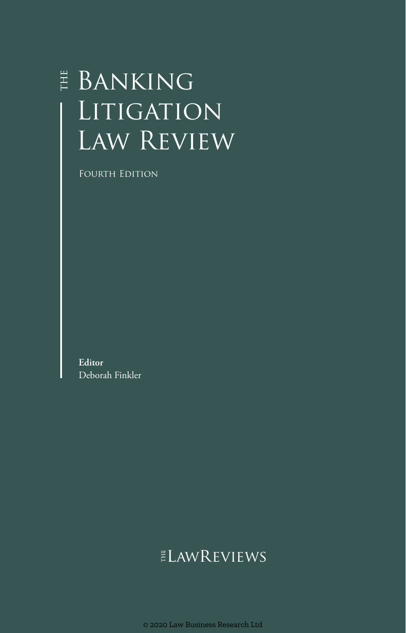# E BANKING LITIGATION LAW REVIEW

Fourth Edition

**Editor** Deborah Finkler

## **ELAWREVIEWS**

© 2020 Law Business Research Ltd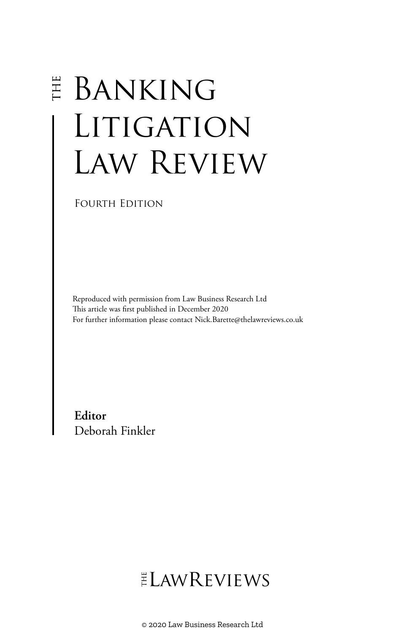# **E BANKING** LITIGATION Law Review

Fourth Edition

Reproduced with permission from Law Business Research Ltd This article was first published in December 2020 For further information please contact Nick.Barette@thelawreviews.co.uk

**Editor** Deborah Finkler

# ELAWREVIEWS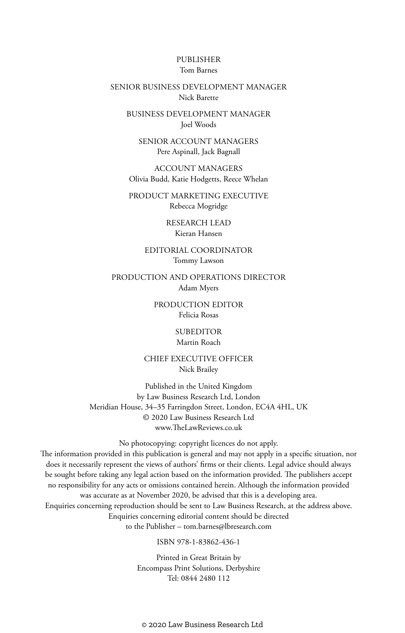#### PUBLISHER Tom Barnes

#### SENIOR BUSINESS DEVELOPMENT MANAGER Nick Barette

BUSINESS DEVELOPMENT MANAGER Joel Woods

SENIOR ACCOUNT MANAGERS Pere Aspinall, Jack Bagnall

ACCOUNT MANAGERS Olivia Budd, Katie Hodgetts, Reece Whelan

PRODUCT MARKETING EXECUTIVE Rebecca Mogridge

> RESEARCH LEAD Kieran Hansen

EDITORIAL COORDINATOR Tommy Lawson

PRODUCTION AND OPERATIONS DIRECTOR Adam Myers

> PRODUCTION EDITOR Felicia Rosas

> > SUBEDITOR Martin Roach

CHIEF EXECUTIVE OFFICER Nick Brailey

Published in the United Kingdom by Law Business Research Ltd, London Meridian House, 34–35 Farringdon Street, London, EC4A 4HL, UK © 2020 Law Business Research Ltd www.TheLawReviews.co.uk

No photocopying: copyright licences do not apply. The information provided in this publication is general and may not apply in a specific situation, nor does it necessarily represent the views of authors' firms or their clients. Legal advice should always be sought before taking any legal action based on the information provided. The publishers accept no responsibility for any acts or omissions contained herein. Although the information provided was accurate as at November 2020, be advised that this is a developing area. Enquiries concerning reproduction should be sent to Law Business Research, at the address above. Enquiries concerning editorial content should be directed to the Publisher – tom.barnes@lbresearch.com

ISBN 978-1-83862-436-1

Printed in Great Britain by Encompass Print Solutions, Derbyshire Tel: 0844 2480 112

© 2020 Law Business Research Ltd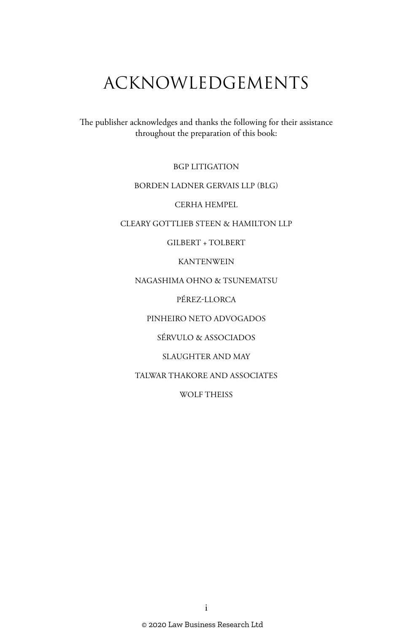# ACKNOWLEDGEMENTS

The publisher acknowledges and thanks the following for their assistance throughout the preparation of this book:

BGP LITIGATION

#### BORDEN LADNER GERVAIS LLP (BLG)

CERHA HEMPEL

#### CLEARY GOTTLIEB STEEN & HAMILTON LLP

#### GILBERT + TOLBERT

#### KANTENWEIN

#### NAGASHIMA OHNO & TSUNEMATSU

PÉREZ-LLORCA

#### PINHEIRO NETO ADVOGADOS

#### SÉRVULO & ASSOCIADOS

#### SLAUGHTER AND MAY

#### TALWAR THAKORE AND ASSOCIATES

#### WOLF THEISS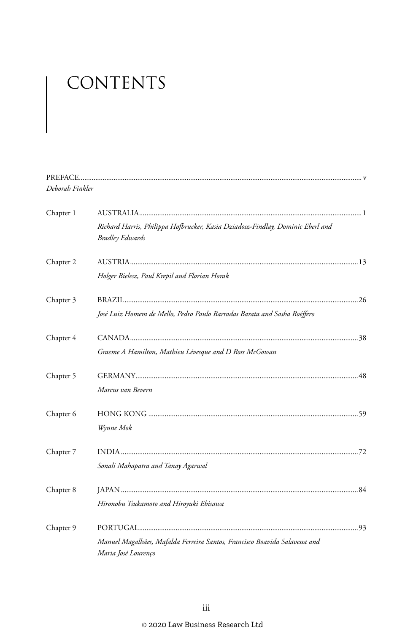# CONTENTS

| Deborah Finkler |                                                                                                          |  |
|-----------------|----------------------------------------------------------------------------------------------------------|--|
| Chapter 1       |                                                                                                          |  |
|                 | Richard Harris, Philippa Hofbrucker, Kasia Dziadosz-Findlay, Dominic Eberl and<br><b>Bradley Edwards</b> |  |
| Chapter 2       |                                                                                                          |  |
|                 | Holger Bielesz, Paul Krepil and Florian Horak                                                            |  |
| Chapter 3       |                                                                                                          |  |
|                 | José Luiz Homem de Mello, Pedro Paulo Barradas Barata and Sasha Roéffero                                 |  |
| Chapter 4       |                                                                                                          |  |
|                 | Graeme A Hamilton, Mathieu Lévesque and D Ross McGowan                                                   |  |
| Chapter 5       |                                                                                                          |  |
|                 | Marcus van Bevern                                                                                        |  |
| Chapter 6       |                                                                                                          |  |
|                 | Wynne Mok                                                                                                |  |
| Chapter 7       |                                                                                                          |  |
|                 | Sonali Mahapatra and Tanay Agarwal                                                                       |  |
| Chapter 8       |                                                                                                          |  |
|                 | Hironobu Tsukamoto and Hiroyuki Ebisawa                                                                  |  |
| Chapter 9       |                                                                                                          |  |
|                 | Manuel Magalhães, Mafalda Ferreira Santos, Francisco Boavida Salavessa and<br>Maria José Lourenço        |  |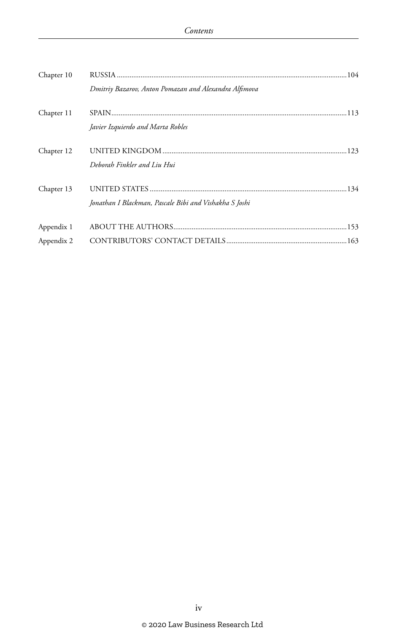| Chapter 10 |                                                        |  |
|------------|--------------------------------------------------------|--|
|            | Dmitriy Bazarov, Anton Pomazan and Alexandra Alfimova  |  |
| Chapter 11 | Javier Izquierdo and Marta Robles                      |  |
| Chapter 12 | Deborah Finkler and Liu Hui                            |  |
| Chapter 13 | Jonathan I Blackman, Pascale Bibi and Vishakha S Joshi |  |
| Appendix 1 |                                                        |  |
| Appendix 2 |                                                        |  |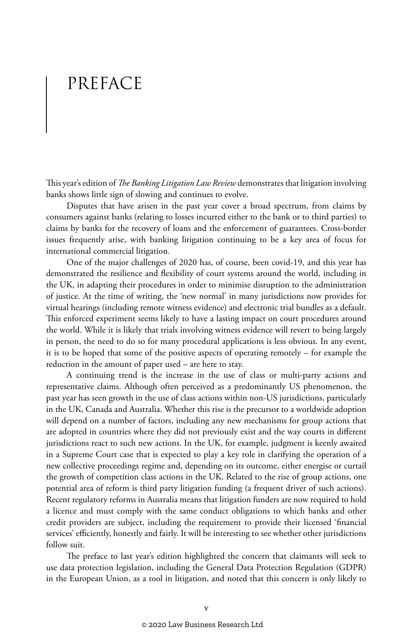# PREFACE

This year's edition of *The Banking Litigation Law Review* demonstrates that litigation involving banks shows little sign of slowing and continues to evolve.

Disputes that have arisen in the past year cover a broad spectrum, from claims by consumers against banks (relating to losses incurred either to the bank or to third parties) to claims by banks for the recovery of loans and the enforcement of guarantees. Cross-border issues frequently arise, with banking litigation continuing to be a key area of focus for international commercial litigation.

One of the major challenges of 2020 has, of course, been covid-19, and this year has demonstrated the resilience and flexibility of court systems around the world, including in the UK, in adapting their procedures in order to minimise disruption to the administration of justice. At the time of writing, the 'new normal' in many jurisdictions now provides for virtual hearings (including remote witness evidence) and electronic trial bundles as a default. This enforced experiment seems likely to have a lasting impact on court procedures around the world. While it is likely that trials involving witness evidence will revert to being largely in person, the need to do so for many procedural applications is less obvious. In any event, it is to be hoped that some of the positive aspects of operating remotely – for example the reduction in the amount of paper used – are here to stay.

A continuing trend is the increase in the use of class or multi-party actions and representative claims. Although often perceived as a predominantly US phenomenon, the past year has seen growth in the use of class actions within non-US jurisdictions, particularly in the UK, Canada and Australia. Whether this rise is the precursor to a worldwide adoption will depend on a number of factors, including any new mechanisms for group actions that are adopted in countries where they did not previously exist and the way courts in different jurisdictions react to such new actions. In the UK, for example, judgment is keenly awaited in a Supreme Court case that is expected to play a key role in clarifying the operation of a new collective proceedings regime and, depending on its outcome, either energise or curtail the growth of competition class actions in the UK. Related to the rise of group actions, one potential area of reform is third party litigation funding (a frequent driver of such actions). Recent regulatory reforms in Australia means that litigation funders are now required to hold a licence and must comply with the same conduct obligations to which banks and other credit providers are subject, including the requirement to provide their licensed 'financial services' efficiently, honestly and fairly. It will be interesting to see whether other jurisdictions follow suit.

The preface to last year's edition highlighted the concern that claimants will seek to use data protection legislation, including the General Data Protection Regulation (GDPR) in the European Union, as a tool in litigation, and noted that this concern is only likely to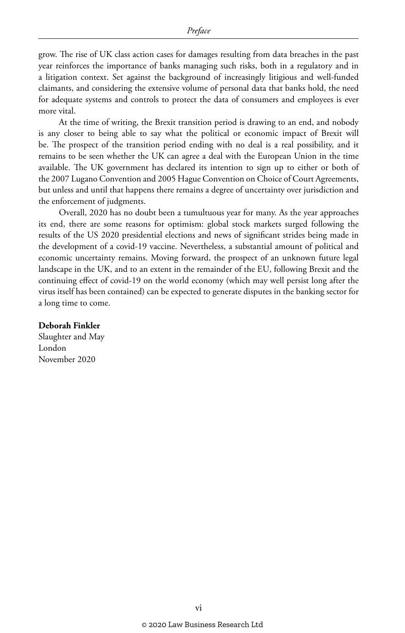grow. The rise of UK class action cases for damages resulting from data breaches in the past year reinforces the importance of banks managing such risks, both in a regulatory and in a litigation context. Set against the background of increasingly litigious and well-funded claimants, and considering the extensive volume of personal data that banks hold, the need for adequate systems and controls to protect the data of consumers and employees is ever more vital.

At the time of writing, the Brexit transition period is drawing to an end, and nobody is any closer to being able to say what the political or economic impact of Brexit will be. The prospect of the transition period ending with no deal is a real possibility, and it remains to be seen whether the UK can agree a deal with the European Union in the time available. The UK government has declared its intention to sign up to either or both of the 2007 Lugano Convention and 2005 Hague Convention on Choice of Court Agreements, but unless and until that happens there remains a degree of uncertainty over jurisdiction and the enforcement of judgments.

Overall, 2020 has no doubt been a tumultuous year for many. As the year approaches its end, there are some reasons for optimism: global stock markets surged following the results of the US 2020 presidential elections and news of significant strides being made in the development of a covid-19 vaccine. Nevertheless, a substantial amount of political and economic uncertainty remains. Moving forward, the prospect of an unknown future legal landscape in the UK, and to an extent in the remainder of the EU, following Brexit and the continuing effect of covid-19 on the world economy (which may well persist long after the virus itself has been contained) can be expected to generate disputes in the banking sector for a long time to come.

#### **Deborah Finkler**

Slaughter and May London November 2020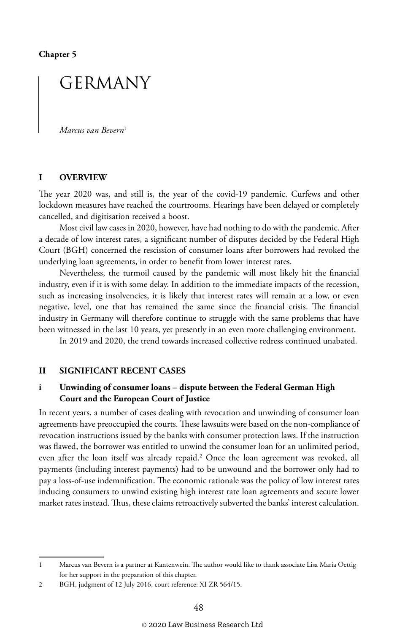**Chapter 5**

## GERMANY

*Marcus van Bevern*<sup>1</sup>

#### **I OVERVIEW**

The year 2020 was, and still is, the year of the covid-19 pandemic. Curfews and other lockdown measures have reached the courtrooms. Hearings have been delayed or completely cancelled, and digitisation received a boost.

Most civil law cases in 2020, however, have had nothing to do with the pandemic. After a decade of low interest rates, a significant number of disputes decided by the Federal High Court (BGH) concerned the rescission of consumer loans after borrowers had revoked the underlying loan agreements, in order to benefit from lower interest rates.

Nevertheless, the turmoil caused by the pandemic will most likely hit the financial industry, even if it is with some delay. In addition to the immediate impacts of the recession, such as increasing insolvencies, it is likely that interest rates will remain at a low, or even negative, level, one that has remained the same since the financial crisis. The financial industry in Germany will therefore continue to struggle with the same problems that have been witnessed in the last 10 years, yet presently in an even more challenging environment.

In 2019 and 2020, the trend towards increased collective redress continued unabated.

#### **II SIGNIFICANT RECENT CASES**

#### **i Unwinding of consumer loans – dispute between the Federal German High Court and the European Court of Justice**

In recent years, a number of cases dealing with revocation and unwinding of consumer loan agreements have preoccupied the courts. These lawsuits were based on the non-compliance of revocation instructions issued by the banks with consumer protection laws. If the instruction was flawed, the borrower was entitled to unwind the consumer loan for an unlimited period, even after the loan itself was already repaid.2 Once the loan agreement was revoked, all payments (including interest payments) had to be unwound and the borrower only had to pay a loss-of-use indemnification. The economic rationale was the policy of low interest rates inducing consumers to unwind existing high interest rate loan agreements and secure lower market rates instead. Thus, these claims retroactively subverted the banks' interest calculation.

<sup>1</sup> Marcus van Bevern is a partner at Kantenwein. The author would like to thank associate Lisa Maria Oettig for her support in the preparation of this chapter.

<sup>2</sup> BGH, judgment of 12 July 2016, court reference: XI ZR 564/15.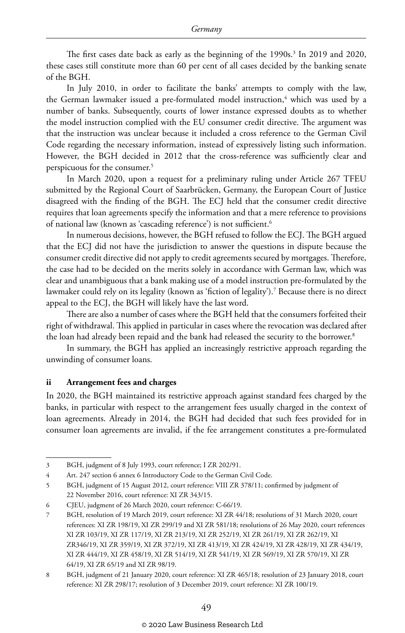The first cases date back as early as the beginning of the 1990s.<sup>3</sup> In 2019 and 2020, these cases still constitute more than 60 per cent of all cases decided by the banking senate of the BGH.

In July 2010, in order to facilitate the banks' attempts to comply with the law, the German lawmaker issued a pre-formulated model instruction,<sup>4</sup> which was used by a number of banks. Subsequently, courts of lower instance expressed doubts as to whether the model instruction complied with the EU consumer credit directive. The argument was that the instruction was unclear because it included a cross reference to the German Civil Code regarding the necessary information, instead of expressively listing such information. However, the BGH decided in 2012 that the cross-reference was sufficiently clear and perspicuous for the consumer.5

In March 2020, upon a request for a preliminary ruling under Article 267 TFEU submitted by the Regional Court of Saarbrücken, Germany, the European Court of Justice disagreed with the finding of the BGH. The ECJ held that the consumer credit directive requires that loan agreements specify the information and that a mere reference to provisions of national law (known as 'cascading reference') is not sufficient.<sup>6</sup>

In numerous decisions, however, the BGH refused to follow the ECJ. The BGH argued that the ECJ did not have the jurisdiction to answer the questions in dispute because the consumer credit directive did not apply to credit agreements secured by mortgages. Therefore, the case had to be decided on the merits solely in accordance with German law, which was clear and unambiguous that a bank making use of a model instruction pre-formulated by the lawmaker could rely on its legality (known as 'fiction of legality').7 Because there is no direct appeal to the ECJ, the BGH will likely have the last word.

There are also a number of cases where the BGH held that the consumers forfeited their right of withdrawal. This applied in particular in cases where the revocation was declared after the loan had already been repaid and the bank had released the security to the borrower.<sup>8</sup>

In summary, the BGH has applied an increasingly restrictive approach regarding the unwinding of consumer loans.

#### **ii Arrangement fees and charges**

In 2020, the BGH maintained its restrictive approach against standard fees charged by the banks, in particular with respect to the arrangement fees usually charged in the context of loan agreements. Already in 2014, the BGH had decided that such fees provided for in consumer loan agreements are invalid, if the fee arrangement constitutes a pre-formulated

<sup>3</sup> BGH, judgment of 8 July 1993, court reference; I ZR 202/91.

<sup>4</sup> Art. 247 section 6 annex 6 Introductory Code to the German Civil Code.

<sup>5</sup> BGH, judgment of 15 August 2012, court reference: VIII ZR 378/11; confirmed by judgment of 22 November 2016, court reference: XI ZR 343/15.

<sup>6</sup> CJEU, judgment of 26 March 2020, court reference: C-66/19.

<sup>7</sup> BGH, resolution of 19 March 2019, court reference: XI ZR 44/18; resolutions of 31 March 2020, court references: XI ZR 198/19, XI ZR 299/19 and XI ZR 581/18; resolutions of 26 May 2020, court references XI ZR 103/19, XI ZR 117/19, XI ZR 213/19, XI ZR 252/19, XI ZR 261/19, XI ZR 262/19, XI ZR346/19, XI ZR 359/19, XI ZR 372/19, XI ZR 413/19, XI ZR 424/19, XI ZR 428/19, XI ZR 434/19, XI ZR 444/19, XI ZR 458/19, XI ZR 514/19, XI ZR 541/19, XI ZR 569/19, XI ZR 570/19, XI ZR 64/19, XI ZR 65/19 and XI ZR 98/19.

<sup>8</sup> BGH, judgment of 21 January 2020, court reference: XI ZR 465/18; resolution of 23 January 2018, court reference: XI ZR 298/17; resolution of 3 December 2019, court reference: XI ZR 100/19.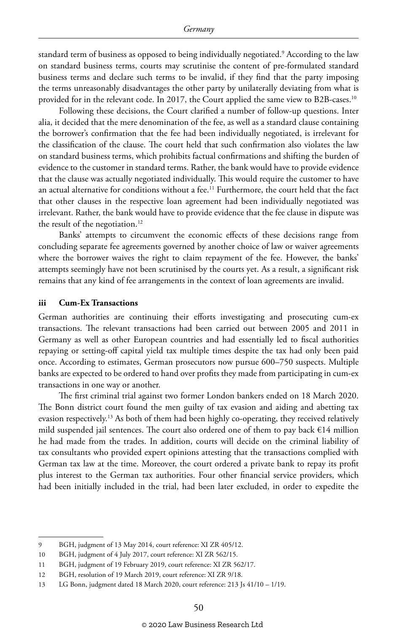standard term of business as opposed to being individually negotiated.9 According to the law on standard business terms, courts may scrutinise the content of pre-formulated standard business terms and declare such terms to be invalid, if they find that the party imposing the terms unreasonably disadvantages the other party by unilaterally deviating from what is provided for in the relevant code. In 2017, the Court applied the same view to B2B-cases.<sup>10</sup>

Following these decisions, the Court clarified a number of follow-up questions. Inter alia, it decided that the mere denomination of the fee, as well as a standard clause containing the borrower's confirmation that the fee had been individually negotiated, is irrelevant for the classification of the clause. The court held that such confirmation also violates the law on standard business terms, which prohibits factual confirmations and shifting the burden of evidence to the customer in standard terms. Rather, the bank would have to provide evidence that the clause was actually negotiated individually. This would require the customer to have an actual alternative for conditions without a fee.<sup>11</sup> Furthermore, the court held that the fact that other clauses in the respective loan agreement had been individually negotiated was irrelevant. Rather, the bank would have to provide evidence that the fee clause in dispute was the result of the negotiation.<sup>12</sup>

Banks' attempts to circumvent the economic effects of these decisions range from concluding separate fee agreements governed by another choice of law or waiver agreements where the borrower waives the right to claim repayment of the fee. However, the banks' attempts seemingly have not been scrutinised by the courts yet. As a result, a significant risk remains that any kind of fee arrangements in the context of loan agreements are invalid.

#### **iii Cum-Ex Transactions**

German authorities are continuing their efforts investigating and prosecuting cum-ex transactions. The relevant transactions had been carried out between 2005 and 2011 in Germany as well as other European countries and had essentially led to fiscal authorities repaying or setting-off capital yield tax multiple times despite the tax had only been paid once. According to estimates, German prosecutors now pursue 600–750 suspects. Multiple banks are expected to be ordered to hand over profits they made from participating in cum-ex transactions in one way or another.

The first criminal trial against two former London bankers ended on 18 March 2020. The Bonn district court found the men guilty of tax evasion and aiding and abetting tax evasion respectively.13 As both of them had been highly co-operating, they received relatively mild suspended jail sentences. The court also ordered one of them to pay back €14 million he had made from the trades. In addition, courts will decide on the criminal liability of tax consultants who provided expert opinions attesting that the transactions complied with German tax law at the time. Moreover, the court ordered a private bank to repay its profit plus interest to the German tax authorities. Four other financial service providers, which had been initially included in the trial, had been later excluded, in order to expedite the

<sup>9</sup> BGH, judgment of 13 May 2014, court reference: XI ZR 405/12.

<sup>10</sup> BGH, judgment of 4 July 2017, court reference: XI ZR 562/15.

<sup>11</sup> BGH, judgment of 19 February 2019, court reference: XI ZR 562/17.

<sup>12</sup> BGH, resolution of 19 March 2019, court reference: XI ZR 9/18.

<sup>13</sup> LG Bonn, judgment dated 18 March 2020, court reference: 213 Js 41/10 – 1/19.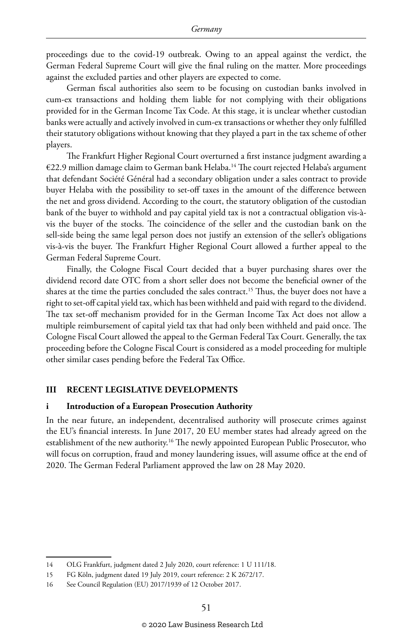proceedings due to the covid-19 outbreak. Owing to an appeal against the verdict, the German Federal Supreme Court will give the final ruling on the matter. More proceedings against the excluded parties and other players are expected to come.

German fiscal authorities also seem to be focusing on custodian banks involved in cum-ex transactions and holding them liable for not complying with their obligations provided for in the German Income Tax Code. At this stage, it is unclear whether custodian banks were actually and actively involved in cum-ex transactions or whether they only fulfilled their statutory obligations without knowing that they played a part in the tax scheme of other players.

The Frankfurt Higher Regional Court overturned a first instance judgment awarding a €22.9 million damage claim to German bank Helaba.14 The court rejected Helaba's argument that defendant Société Général had a secondary obligation under a sales contract to provide buyer Helaba with the possibility to set-off taxes in the amount of the difference between the net and gross dividend. According to the court, the statutory obligation of the custodian bank of the buyer to withhold and pay capital yield tax is not a contractual obligation vis-àvis the buyer of the stocks. The coincidence of the seller and the custodian bank on the sell-side being the same legal person does not justify an extension of the seller's obligations vis-à-vis the buyer. The Frankfurt Higher Regional Court allowed a further appeal to the German Federal Supreme Court.

Finally, the Cologne Fiscal Court decided that a buyer purchasing shares over the dividend record date OTC from a short seller does not become the beneficial owner of the shares at the time the parties concluded the sales contract.<sup>15</sup> Thus, the buyer does not have a right to set-off capital yield tax, which has been withheld and paid with regard to the dividend. The tax set-off mechanism provided for in the German Income Tax Act does not allow a multiple reimbursement of capital yield tax that had only been withheld and paid once. The Cologne Fiscal Court allowed the appeal to the German Federal Tax Court. Generally, the tax proceeding before the Cologne Fiscal Court is considered as a model proceeding for multiple other similar cases pending before the Federal Tax Office.

#### **III RECENT LEGISLATIVE DEVELOPMENTS**

#### **i Introduction of a European Prosecution Authority**

In the near future, an independent, decentralised authority will prosecute crimes against the EU's financial interests. In June 2017, 20 EU member states had already agreed on the establishment of the new authority.<sup>16</sup> The newly appointed European Public Prosecutor, who will focus on corruption, fraud and money laundering issues, will assume office at the end of 2020. The German Federal Parliament approved the law on 28 May 2020.

<sup>14</sup> OLG Frankfurt, judgment dated 2 July 2020, court reference: 1 U 111/18.

<sup>15</sup> FG Köln, judgment dated 19 July 2019, court reference: 2 K 2672/17.

<sup>16</sup> See Council Regulation (EU) 2017/1939 of 12 October 2017.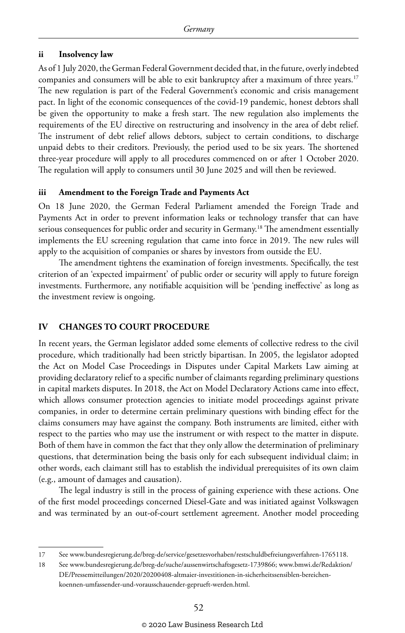#### **ii Insolvency law**

As of 1 July 2020, the German Federal Government decided that, in the future, overly indebted companies and consumers will be able to exit bankruptcy after a maximum of three years.<sup>17</sup> The new regulation is part of the Federal Government's economic and crisis management pact. In light of the economic consequences of the covid-19 pandemic, honest debtors shall be given the opportunity to make a fresh start. The new regulation also implements the requirements of the EU directive on restructuring and insolvency in the area of debt relief. The instrument of debt relief allows debtors, subject to certain conditions, to discharge unpaid debts to their creditors. Previously, the period used to be six years. The shortened three-year procedure will apply to all procedures commenced on or after 1 October 2020. The regulation will apply to consumers until 30 June 2025 and will then be reviewed.

#### **iii Amendment to the Foreign Trade and Payments Act**

On 18 June 2020, the German Federal Parliament amended the Foreign Trade and Payments Act in order to prevent information leaks or technology transfer that can have serious consequences for public order and security in Germany.<sup>18</sup> The amendment essentially implements the EU screening regulation that came into force in 2019. The new rules will apply to the acquisition of companies or shares by investors from outside the EU.

The amendment tightens the examination of foreign investments. Specifically, the test criterion of an 'expected impairment' of public order or security will apply to future foreign investments. Furthermore, any notifiable acquisition will be 'pending ineffective' as long as the investment review is ongoing.

#### **IV CHANGES TO COURT PROCEDURE**

In recent years, the German legislator added some elements of collective redress to the civil procedure, which traditionally had been strictly bipartisan. In 2005, the legislator adopted the Act on Model Case Proceedings in Disputes under Capital Markets Law aiming at providing declaratory relief to a specific number of claimants regarding preliminary questions in capital markets disputes. In 2018, the Act on Model Declaratory Actions came into effect, which allows consumer protection agencies to initiate model proceedings against private companies, in order to determine certain preliminary questions with binding effect for the claims consumers may have against the company. Both instruments are limited, either with respect to the parties who may use the instrument or with respect to the matter in dispute. Both of them have in common the fact that they only allow the determination of preliminary questions, that determination being the basis only for each subsequent individual claim; in other words, each claimant still has to establish the individual prerequisites of its own claim (e.g., amount of damages and causation).

The legal industry is still in the process of gaining experience with these actions. One of the first model proceedings concerned Diesel-Gate and was initiated against Volkswagen and was terminated by an out-of-court settlement agreement. Another model proceeding

<sup>17</sup> See www.bundesregierung.de/breg-de/service/gesetzesvorhaben/restschuldbefreiungsverfahren-1765118.

<sup>18</sup> See www.bundesregierung.de/breg-de/suche/aussenwirtschaftsgesetz-1739866; www.bmwi.de/Redaktion/ DE/Pressemitteilungen/2020/20200408-altmaier-investitionen-in-sicherheitssensiblen-bereichenkoennen-umfassender-und-vorausschauender-geprueft-werden.html.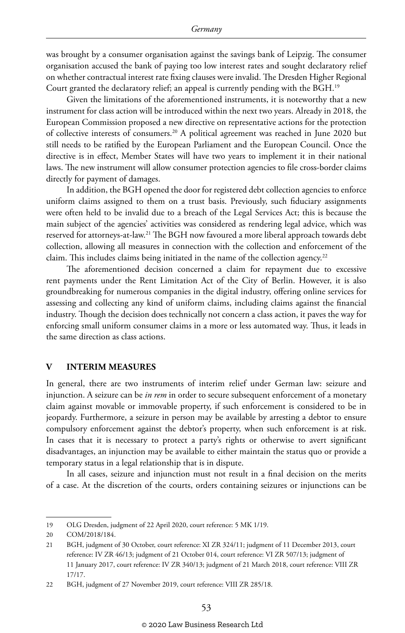was brought by a consumer organisation against the savings bank of Leipzig. The consumer organisation accused the bank of paying too low interest rates and sought declaratory relief on whether contractual interest rate fixing clauses were invalid. The Dresden Higher Regional Court granted the declaratory relief; an appeal is currently pending with the BGH.19

Given the limitations of the aforementioned instruments, it is noteworthy that a new instrument for class action will be introduced within the next two years. Already in 2018, the European Commission proposed a new directive on representative actions for the protection of collective interests of consumers.20 A political agreement was reached in June 2020 but still needs to be ratified by the European Parliament and the European Council. Once the directive is in effect, Member States will have two years to implement it in their national laws. The new instrument will allow consumer protection agencies to file cross-border claims directly for payment of damages.

In addition, the BGH opened the door for registered debt collection agencies to enforce uniform claims assigned to them on a trust basis. Previously, such fiduciary assignments were often held to be invalid due to a breach of the Legal Services Act; this is because the main subject of the agencies' activities was considered as rendering legal advice, which was reserved for attorneys-at-law.21 The BGH now favoured a more liberal approach towards debt collection, allowing all measures in connection with the collection and enforcement of the claim. This includes claims being initiated in the name of the collection agency.<sup>22</sup>

The aforementioned decision concerned a claim for repayment due to excessive rent payments under the Rent Limitation Act of the City of Berlin. However, it is also groundbreaking for numerous companies in the digital industry, offering online services for assessing and collecting any kind of uniform claims, including claims against the financial industry. Though the decision does technically not concern a class action, it paves the way for enforcing small uniform consumer claims in a more or less automated way. Thus, it leads in the same direction as class actions.

#### **V INTERIM MEASURES**

In general, there are two instruments of interim relief under German law: seizure and injunction. A seizure can be *in rem* in order to secure subsequent enforcement of a monetary claim against movable or immovable property, if such enforcement is considered to be in jeopardy. Furthermore, a seizure in person may be available by arresting a debtor to ensure compulsory enforcement against the debtor's property, when such enforcement is at risk. In cases that it is necessary to protect a party's rights or otherwise to avert significant disadvantages, an injunction may be available to either maintain the status quo or provide a temporary status in a legal relationship that is in dispute.

In all cases, seizure and injunction must not result in a final decision on the merits of a case. At the discretion of the courts, orders containing seizures or injunctions can be

<sup>19</sup> OLG Dresden, judgment of 22 April 2020, court reference: 5 MK 1/19.

<sup>20</sup> COM/2018/184.

<sup>21</sup> BGH, judgment of 30 October, court reference: XI ZR 324/11; judgment of 11 December 2013, court reference: IV ZR 46/13; judgment of 21 October 014, court reference: VI ZR 507/13; judgment of 11 January 2017, court reference: IV ZR 340/13; judgment of 21 March 2018, court reference: VIII ZR 17/17.

<sup>22</sup> BGH, judgment of 27 November 2019, court reference: VIII ZR 285/18.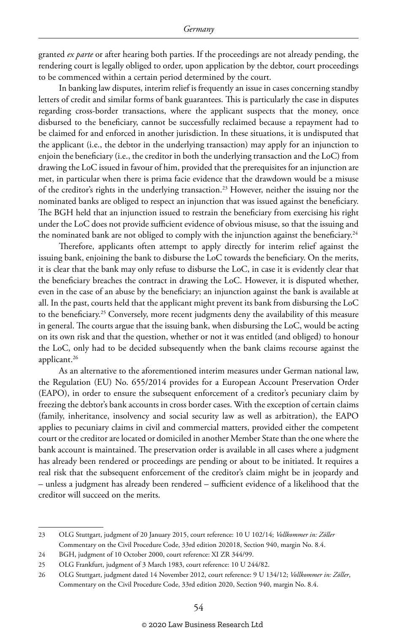granted *ex parte* or after hearing both parties. If the proceedings are not already pending, the rendering court is legally obliged to order, upon application by the debtor, court proceedings to be commenced within a certain period determined by the court.

In banking law disputes, interim relief is frequently an issue in cases concerning standby letters of credit and similar forms of bank guarantees. This is particularly the case in disputes regarding cross-border transactions, where the applicant suspects that the money, once disbursed to the beneficiary, cannot be successfully reclaimed because a repayment had to be claimed for and enforced in another jurisdiction. In these situations, it is undisputed that the applicant (i.e., the debtor in the underlying transaction) may apply for an injunction to enjoin the beneficiary (i.e., the creditor in both the underlying transaction and the LoC) from drawing the LoC issued in favour of him, provided that the prerequisites for an injunction are met, in particular when there is prima facie evidence that the drawdown would be a misuse of the creditor's rights in the underlying transaction.<sup>23</sup> However, neither the issuing nor the nominated banks are obliged to respect an injunction that was issued against the beneficiary. The BGH held that an injunction issued to restrain the beneficiary from exercising his right under the LoC does not provide sufficient evidence of obvious misuse, so that the issuing and the nominated bank are not obliged to comply with the injunction against the beneficiary.<sup>24</sup>

Therefore, applicants often attempt to apply directly for interim relief against the issuing bank, enjoining the bank to disburse the LoC towards the beneficiary. On the merits, it is clear that the bank may only refuse to disburse the LoC, in case it is evidently clear that the beneficiary breaches the contract in drawing the LoC. However, it is disputed whether, even in the case of an abuse by the beneficiary; an injunction against the bank is available at all. In the past, courts held that the applicant might prevent its bank from disbursing the LoC to the beneficiary.<sup>25</sup> Conversely, more recent judgments deny the availability of this measure in general. The courts argue that the issuing bank, when disbursing the LoC, would be acting on its own risk and that the question, whether or not it was entitled (and obliged) to honour the LoC, only had to be decided subsequently when the bank claims recourse against the applicant.<sup>26</sup>

As an alternative to the aforementioned interim measures under German national law, the Regulation (EU) No. 655/2014 provides for a European Account Preservation Order (EAPO), in order to ensure the subsequent enforcement of a creditor's pecuniary claim by freezing the debtor's bank accounts in cross border cases. With the exception of certain claims (family, inheritance, insolvency and social security law as well as arbitration), the EAPO applies to pecuniary claims in civil and commercial matters, provided either the competent court or the creditor are located or domiciled in another Member State than the one where the bank account is maintained. The preservation order is available in all cases where a judgment has already been rendered or proceedings are pending or about to be initiated. It requires a real risk that the subsequent enforcement of the creditor's claim might be in jeopardy and – unless a judgment has already been rendered – sufficient evidence of a likelihood that the creditor will succeed on the merits.

<sup>23</sup> OLG Stuttgart, judgment of 20 January 2015, court reference: 10 U 102/14; *Vollkommer in: Zöller* Commentary on the Civil Procedure Code, 33rd edition 202018, Section 940, margin No. 8.4.

<sup>24</sup> BGH, judgment of 10 October 2000, court reference: XI ZR 344/99.

<sup>25</sup> OLG Frankfurt, judgment of 3 March 1983, court reference: 10 U 244/82.

<sup>26</sup> OLG Stuttgart, judgment dated 14 November 2012, court reference: 9 U 134/12; *Vollkommer in: Zöller*, Commentary on the Civil Procedure Code, 33rd edition 2020, Section 940, margin No. 8.4.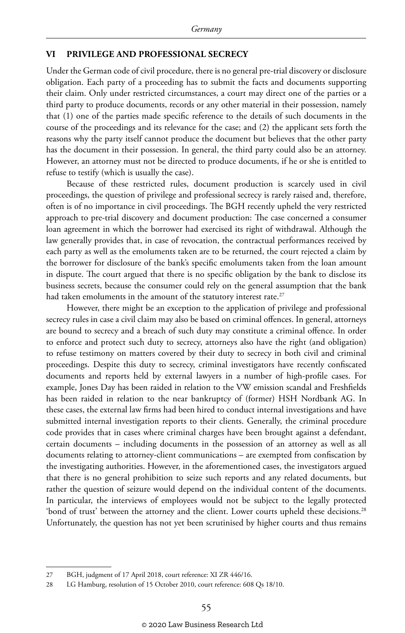#### **VI PRIVILEGE AND PROFESSIONAL SECRECY**

Under the German code of civil procedure, there is no general pre-trial discovery or disclosure obligation. Each party of a proceeding has to submit the facts and documents supporting their claim. Only under restricted circumstances, a court may direct one of the parties or a third party to produce documents, records or any other material in their possession, namely that (1) one of the parties made specific reference to the details of such documents in the course of the proceedings and its relevance for the case; and (2) the applicant sets forth the reasons why the party itself cannot produce the document but believes that the other party has the document in their possession. In general, the third party could also be an attorney. However, an attorney must not be directed to produce documents, if he or she is entitled to refuse to testify (which is usually the case).

Because of these restricted rules, document production is scarcely used in civil proceedings, the question of privilege and professional secrecy is rarely raised and, therefore, often is of no importance in civil proceedings. The BGH recently upheld the very restricted approach to pre-trial discovery and document production: The case concerned a consumer loan agreement in which the borrower had exercised its right of withdrawal. Although the law generally provides that, in case of revocation, the contractual performances received by each party as well as the emoluments taken are to be returned, the court rejected a claim by the borrower for disclosure of the bank's specific emoluments taken from the loan amount in dispute. The court argued that there is no specific obligation by the bank to disclose its business secrets, because the consumer could rely on the general assumption that the bank had taken emoluments in the amount of the statutory interest rate.<sup>27</sup>

However, there might be an exception to the application of privilege and professional secrecy rules in case a civil claim may also be based on criminal offences. In general, attorneys are bound to secrecy and a breach of such duty may constitute a criminal offence. In order to enforce and protect such duty to secrecy, attorneys also have the right (and obligation) to refuse testimony on matters covered by their duty to secrecy in both civil and criminal proceedings. Despite this duty to secrecy, criminal investigators have recently confiscated documents and reports held by external lawyers in a number of high-profile cases. For example, Jones Day has been raided in relation to the VW emission scandal and Freshfields has been raided in relation to the near bankruptcy of (former) HSH Nordbank AG. In these cases, the external law firms had been hired to conduct internal investigations and have submitted internal investigation reports to their clients. Generally, the criminal procedure code provides that in cases where criminal charges have been brought against a defendant, certain documents – including documents in the possession of an attorney as well as all documents relating to attorney-client communications – are exempted from confiscation by the investigating authorities. However, in the aforementioned cases, the investigators argued that there is no general prohibition to seize such reports and any related documents, but rather the question of seizure would depend on the individual content of the documents. In particular, the interviews of employees would not be subject to the legally protected 'bond of trust' between the attorney and the client. Lower courts upheld these decisions.<sup>28</sup> Unfortunately, the question has not yet been scrutinised by higher courts and thus remains

<sup>27</sup> BGH, judgment of 17 April 2018, court reference: XI ZR 446/16.

<sup>28</sup> LG Hamburg, resolution of 15 October 2010, court reference: 608 Qs 18/10.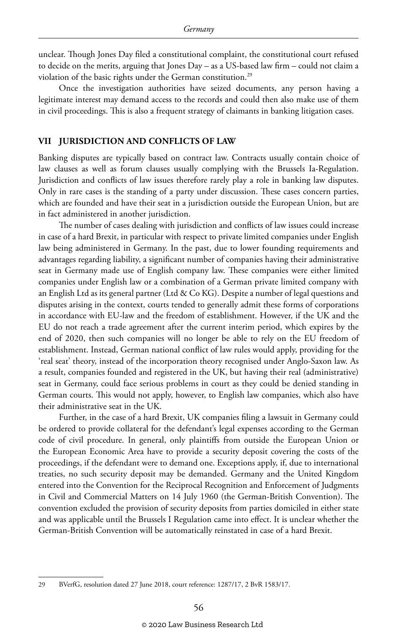unclear. Though Jones Day filed a constitutional complaint, the constitutional court refused to decide on the merits, arguing that Jones Day – as a US-based law firm – could not claim a violation of the basic rights under the German constitution.29

Once the investigation authorities have seized documents, any person having a legitimate interest may demand access to the records and could then also make use of them in civil proceedings. This is also a frequent strategy of claimants in banking litigation cases.

#### **VII JURISDICTION AND CONFLICTS OF LAW**

Banking disputes are typically based on contract law. Contracts usually contain choice of law clauses as well as forum clauses usually complying with the Brussels Ia-Regulation. Jurisdiction and conflicts of law issues therefore rarely play a role in banking law disputes. Only in rare cases is the standing of a party under discussion. These cases concern parties, which are founded and have their seat in a jurisdiction outside the European Union, but are in fact administered in another jurisdiction.

The number of cases dealing with jurisdiction and conflicts of law issues could increase in case of a hard Brexit, in particular with respect to private limited companies under English law being administered in Germany. In the past, due to lower founding requirements and advantages regarding liability, a significant number of companies having their administrative seat in Germany made use of English company law. These companies were either limited companies under English law or a combination of a German private limited company with an English Ltd as its general partner (Ltd & Co KG). Despite a number of legal questions and disputes arising in the context, courts tended to generally admit these forms of corporations in accordance with EU-law and the freedom of establishment. However, if the UK and the EU do not reach a trade agreement after the current interim period, which expires by the end of 2020, then such companies will no longer be able to rely on the EU freedom of establishment. Instead, German national conflict of law rules would apply, providing for the 'real seat' theory, instead of the incorporation theory recognised under Anglo-Saxon law. As a result, companies founded and registered in the UK, but having their real (administrative) seat in Germany, could face serious problems in court as they could be denied standing in German courts. This would not apply, however, to English law companies, which also have their administrative seat in the UK.

Further, in the case of a hard Brexit, UK companies filing a lawsuit in Germany could be ordered to provide collateral for the defendant's legal expenses according to the German code of civil procedure. In general, only plaintiffs from outside the European Union or the European Economic Area have to provide a security deposit covering the costs of the proceedings, if the defendant were to demand one. Exceptions apply, if, due to international treaties, no such security deposit may be demanded. Germany and the United Kingdom entered into the Convention for the Reciprocal Recognition and Enforcement of Judgments in Civil and Commercial Matters on 14 July 1960 (the German-British Convention). The convention excluded the provision of security deposits from parties domiciled in either state and was applicable until the Brussels I Regulation came into effect. It is unclear whether the German-British Convention will be automatically reinstated in case of a hard Brexit.

<sup>29</sup> BVerfG, resolution dated 27 June 2018, court reference: 1287/17, 2 BvR 1583/17.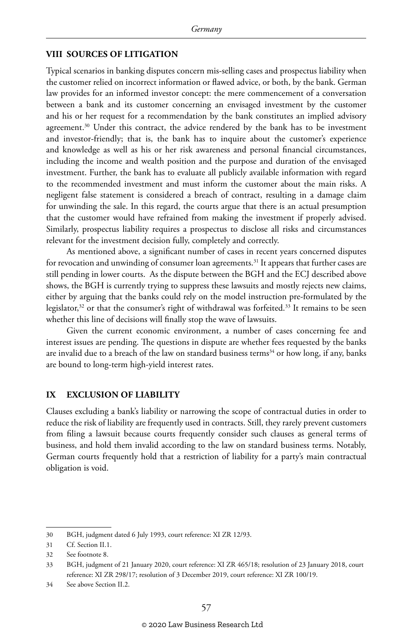#### **VIII SOURCES OF LITIGATION**

Typical scenarios in banking disputes concern mis-selling cases and prospectus liability when the customer relied on incorrect information or flawed advice, or both, by the bank. German law provides for an informed investor concept: the mere commencement of a conversation between a bank and its customer concerning an envisaged investment by the customer and his or her request for a recommendation by the bank constitutes an implied advisory agreement.<sup>30</sup> Under this contract, the advice rendered by the bank has to be investment and investor-friendly; that is, the bank has to inquire about the customer's experience and knowledge as well as his or her risk awareness and personal financial circumstances, including the income and wealth position and the purpose and duration of the envisaged investment. Further, the bank has to evaluate all publicly available information with regard to the recommended investment and must inform the customer about the main risks. A negligent false statement is considered a breach of contract, resulting in a damage claim for unwinding the sale. In this regard, the courts argue that there is an actual presumption that the customer would have refrained from making the investment if properly advised. Similarly, prospectus liability requires a prospectus to disclose all risks and circumstances relevant for the investment decision fully, completely and correctly.

As mentioned above, a significant number of cases in recent years concerned disputes for revocation and unwinding of consumer loan agreements.<sup>31</sup> It appears that further cases are still pending in lower courts. As the dispute between the BGH and the ECJ described above shows, the BGH is currently trying to suppress these lawsuits and mostly rejects new claims, either by arguing that the banks could rely on the model instruction pre-formulated by the legislator, $32$  or that the consumer's right of withdrawal was forfeited. $33$  It remains to be seen whether this line of decisions will finally stop the wave of lawsuits.

Given the current economic environment, a number of cases concerning fee and interest issues are pending. The questions in dispute are whether fees requested by the banks are invalid due to a breach of the law on standard business terms $34$  or how long, if any, banks are bound to long-term high-yield interest rates.

#### **IX EXCLUSION OF LIABILITY**

Clauses excluding a bank's liability or narrowing the scope of contractual duties in order to reduce the risk of liability are frequently used in contracts. Still, they rarely prevent customers from filing a lawsuit because courts frequently consider such clauses as general terms of business, and hold them invalid according to the law on standard business terms. Notably, German courts frequently hold that a restriction of liability for a party's main contractual obligation is void.

<sup>30</sup> BGH, judgment dated 6 July 1993, court reference: XI ZR 12/93.

<sup>31</sup> Cf. Section II.1.

<sup>32</sup> See footnote 8.

<sup>33</sup> BGH, judgment of 21 January 2020, court reference: XI ZR 465/18; resolution of 23 January 2018, court reference: XI ZR 298/17; resolution of 3 December 2019, court reference: XI ZR 100/19.

<sup>34</sup> See above Section II.2.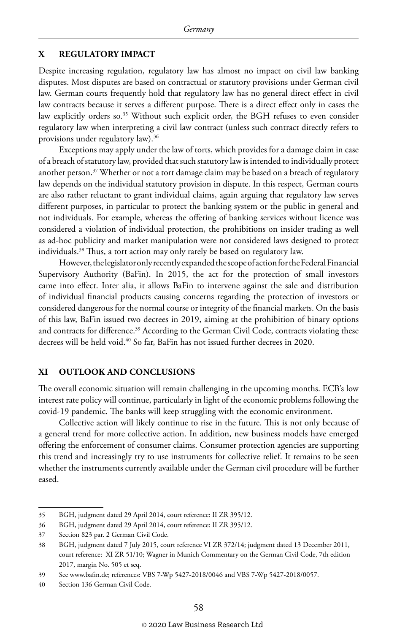#### **X REGULATORY IMPACT**

Despite increasing regulation, regulatory law has almost no impact on civil law banking disputes. Most disputes are based on contractual or statutory provisions under German civil law. German courts frequently hold that regulatory law has no general direct effect in civil law contracts because it serves a different purpose. There is a direct effect only in cases the law explicitly orders so.<sup>35</sup> Without such explicit order, the BGH refuses to even consider regulatory law when interpreting a civil law contract (unless such contract directly refers to provisions under regulatory law).36

Exceptions may apply under the law of torts, which provides for a damage claim in case of a breach of statutory law, provided that such statutory law is intended to individually protect another person.37 Whether or not a tort damage claim may be based on a breach of regulatory law depends on the individual statutory provision in dispute. In this respect, German courts are also rather reluctant to grant individual claims, again arguing that regulatory law serves different purposes, in particular to protect the banking system or the public in general and not individuals. For example, whereas the offering of banking services without licence was considered a violation of individual protection, the prohibitions on insider trading as well as ad-hoc publicity and market manipulation were not considered laws designed to protect individuals.38 Thus, a tort action may only rarely be based on regulatory law.

However, the legislator only recently expanded the scope of action for the Federal Financial Supervisory Authority (BaFin). In 2015, the act for the protection of small investors came into effect. Inter alia, it allows BaFin to intervene against the sale and distribution of individual financial products causing concerns regarding the protection of investors or considered dangerous for the normal course or integrity of the financial markets. On the basis of this law, BaFin issued two decrees in 2019, aiming at the prohibition of binary options and contracts for difference.<sup>39</sup> According to the German Civil Code, contracts violating these decrees will be held void.<sup>40</sup> So far, BaFin has not issued further decrees in 2020.

#### **XI OUTLOOK AND CONCLUSIONS**

The overall economic situation will remain challenging in the upcoming months. ECB's low interest rate policy will continue, particularly in light of the economic problems following the covid-19 pandemic. The banks will keep struggling with the economic environment.

Collective action will likely continue to rise in the future. This is not only because of a general trend for more collective action. In addition, new business models have emerged offering the enforcement of consumer claims. Consumer protection agencies are supporting this trend and increasingly try to use instruments for collective relief. It remains to be seen whether the instruments currently available under the German civil procedure will be further eased.

<sup>35</sup> BGH, judgment dated 29 April 2014, court reference: II ZR 395/12.

<sup>36</sup> BGH, judgment dated 29 April 2014, court reference: II ZR 395/12.

<sup>37</sup> Section 823 par. 2 German Civil Code.

<sup>38</sup> BGH, judgment dated 7 July 2015, court reference VI ZR 372/14; judgment dated 13 December 2011, court reference: XI ZR 51/10; Wagner in Munich Commentary on the German Civil Code, 7th edition 2017, margin No. 505 et seq.

<sup>39</sup> See www.bafin.de; references: VBS 7-Wp 5427-2018/0046 and VBS 7-Wp 5427-2018/0057.

<sup>40</sup> Section 136 German Civil Code.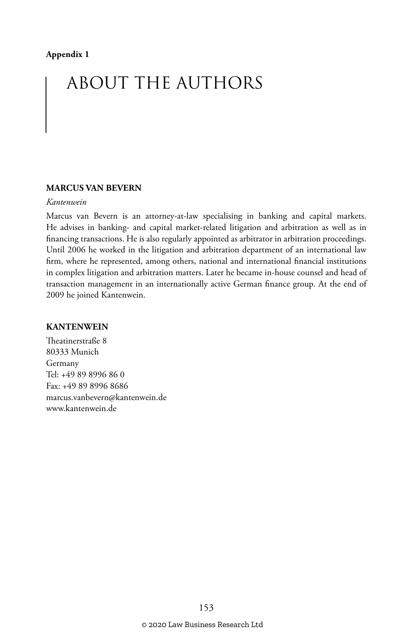#### **Appendix 1**

# ABOUT THE AUTHORS

#### **MARCUS VAN BEVERN**

#### *Kantenwein*

Marcus van Bevern is an attorney-at-law specialising in banking and capital markets. He advises in banking- and capital market-related litigation and arbitration as well as in financing transactions. He is also regularly appointed as arbitrator in arbitration proceedings. Until 2006 he worked in the litigation and arbitration department of an international law firm, where he represented, among others, national and international financial institutions in complex litigation and arbitration matters. Later he became in-house counsel and head of transaction management in an internationally active German finance group. At the end of 2009 he joined Kantenwein.

#### **KANTENWEIN**

Theatinerstraße 8 80333 Munich Germany Tel: +49 89 8996 86 0 Fax: +49 89 8996 8686 marcus.vanbevern@kantenwein.de www.kantenwein.de